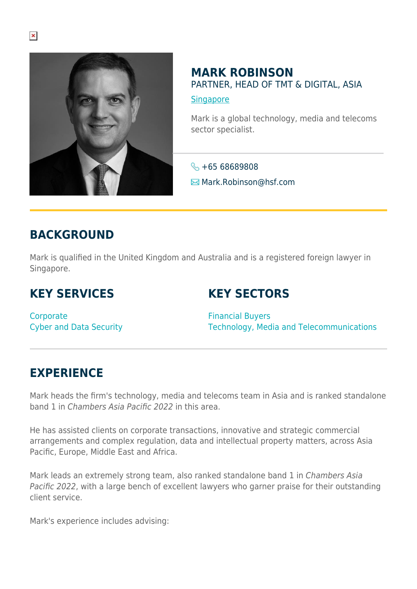

## **MARK ROBINSON** PARTNER, HEAD OF TMT & DIGITAL, ASIA

**[Singapore](https://www.herbertsmithfreehills.com/lang-de/where-we-work/singapore)** 

Mark is a global technology, media and telecoms sector specialist.

 $\leftarrow +6568689808$ **<del>⊠</del> Mark.Robinson**@hsf.com

# **BACKGROUND**

Mark is qualified in the United Kingdom and Australia and is a registered foreign lawyer in Singapore.

# **KEY SERVICES**

## **KEY SECTORS**

**Corporate** Cyber and Data Security

Financial Buyers Technology, Media and Telecommunications

## **EXPERIENCE**

Mark heads the firm's technology, media and telecoms team in Asia and is ranked standalone band 1 in Chambers Asia Pacific 2022 in this area.

He has assisted clients on corporate transactions, innovative and strategic commercial arrangements and complex regulation, data and intellectual property matters, across Asia Pacific, Europe, Middle East and Africa.

Mark leads an extremely strong team, also ranked standalone band 1 in Chambers Asia Pacific 2022, with a large bench of excellent lawyers who garner praise for their outstanding client service.

Mark's experience includes advising: